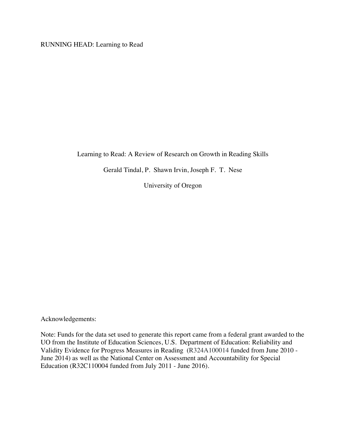RUNNING HEAD: Learning to Read

Learning to Read: A Review of Research on Growth in Reading Skills

Gerald Tindal, P. Shawn Irvin, Joseph F. T. Nese

University of Oregon

Acknowledgements:

Note: Funds for the data set used to generate this report came from a federal grant awarded to the UO from the Institute of Education Sciences, U.S. Department of Education: Reliability and Validity Evidence for Progress Measures in Reading (R324A100014 funded from June 2010 - June 2014) as well as the National Center on Assessment and Accountability for Special Education (R32C110004 funded from July 2011 - June 2016).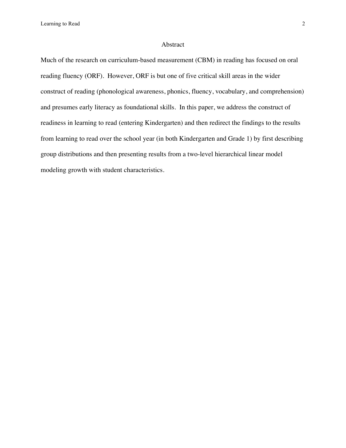## Abstract

Much of the research on curriculum-based measurement (CBM) in reading has focused on oral reading fluency (ORF). However, ORF is but one of five critical skill areas in the wider construct of reading (phonological awareness, phonics, fluency, vocabulary, and comprehension) and presumes early literacy as foundational skills. In this paper, we address the construct of readiness in learning to read (entering Kindergarten) and then redirect the findings to the results from learning to read over the school year (in both Kindergarten and Grade 1) by first describing group distributions and then presenting results from a two-level hierarchical linear model modeling growth with student characteristics.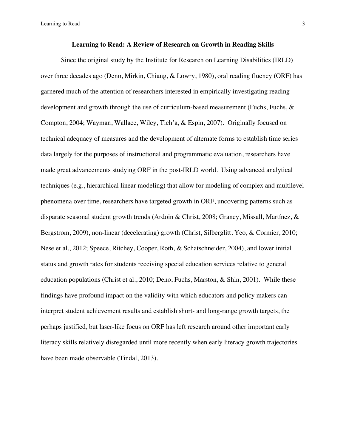## **Learning to Read: A Review of Research on Growth in Reading Skills**

Since the original study by the Institute for Research on Learning Disabilities (IRLD) over three decades ago (Deno, Mirkin, Chiang, & Lowry, 1980), oral reading fluency (ORF) has garnered much of the attention of researchers interested in empirically investigating reading development and growth through the use of curriculum-based measurement (Fuchs, Fuchs, & Compton, 2004; Wayman, Wallace, Wiley, Tich'a, & Espin, 2007). Originally focused on technical adequacy of measures and the development of alternate forms to establish time series data largely for the purposes of instructional and programmatic evaluation, researchers have made great advancements studying ORF in the post-IRLD world. Using advanced analytical techniques (e.g., hierarchical linear modeling) that allow for modeling of complex and multilevel phenomena over time, researchers have targeted growth in ORF, uncovering patterns such as disparate seasonal student growth trends (Ardoin & Christ, 2008; Graney, Missall, Martínez, & Bergstrom, 2009), non-linear (decelerating) growth (Christ, Silberglitt, Yeo, & Cormier, 2010; Nese et al., 2012; Speece, Ritchey, Cooper, Roth, & Schatschneider, 2004), and lower initial status and growth rates for students receiving special education services relative to general education populations (Christ et al., 2010; Deno, Fuchs, Marston, & Shin, 2001). While these findings have profound impact on the validity with which educators and policy makers can interpret student achievement results and establish short- and long-range growth targets, the perhaps justified, but laser-like focus on ORF has left research around other important early literacy skills relatively disregarded until more recently when early literacy growth trajectories have been made observable (Tindal, 2013).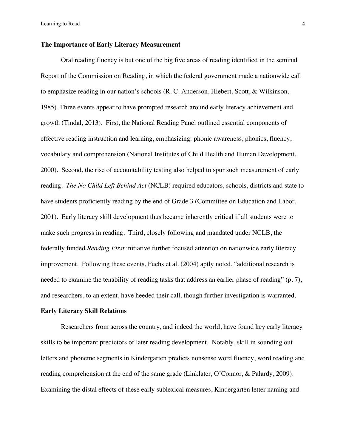## **The Importance of Early Literacy Measurement**

Oral reading fluency is but one of the big five areas of reading identified in the seminal Report of the Commission on Reading, in which the federal government made a nationwide call to emphasize reading in our nation's schools (R. C. Anderson, Hiebert, Scott, & Wilkinson, 1985). Three events appear to have prompted research around early literacy achievement and growth (Tindal, 2013). First, the National Reading Panel outlined essential components of effective reading instruction and learning, emphasizing: phonic awareness, phonics, fluency, vocabulary and comprehension (National Institutes of Child Health and Human Development, 2000). Second, the rise of accountability testing also helped to spur such measurement of early reading. *The No Child Left Behind Act* (NCLB) required educators, schools, districts and state to have students proficiently reading by the end of Grade 3 (Committee on Education and Labor, 2001). Early literacy skill development thus became inherently critical if all students were to make such progress in reading. Third, closely following and mandated under NCLB, the federally funded *Reading First* initiative further focused attention on nationwide early literacy improvement. Following these events, Fuchs et al. (2004) aptly noted, "additional research is needed to examine the tenability of reading tasks that address an earlier phase of reading" (p. 7), and researchers, to an extent, have heeded their call, though further investigation is warranted.

## **Early Literacy Skill Relations**

Researchers from across the country, and indeed the world, have found key early literacy skills to be important predictors of later reading development. Notably, skill in sounding out letters and phoneme segments in Kindergarten predicts nonsense word fluency, word reading and reading comprehension at the end of the same grade (Linklater, O'Connor, & Palardy, 2009). Examining the distal effects of these early sublexical measures, Kindergarten letter naming and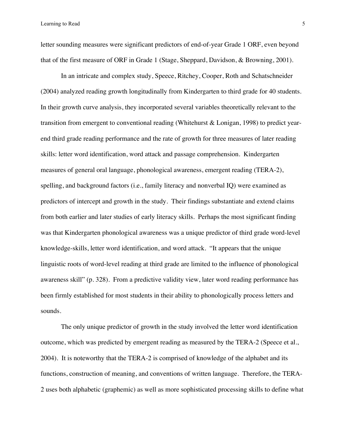letter sounding measures were significant predictors of end-of-year Grade 1 ORF, even beyond that of the first measure of ORF in Grade 1 (Stage, Sheppard, Davidson, & Browning, 2001).

In an intricate and complex study, Speece, Ritchey, Cooper, Roth and Schatschneider (2004) analyzed reading growth longitudinally from Kindergarten to third grade for 40 students. In their growth curve analysis, they incorporated several variables theoretically relevant to the transition from emergent to conventional reading (Whitehurst & Lonigan, 1998) to predict yearend third grade reading performance and the rate of growth for three measures of later reading skills: letter word identification, word attack and passage comprehension. Kindergarten measures of general oral language, phonological awareness, emergent reading (TERA-2), spelling, and background factors (i.e., family literacy and nonverbal IQ) were examined as predictors of intercept and growth in the study. Their findings substantiate and extend claims from both earlier and later studies of early literacy skills. Perhaps the most significant finding was that Kindergarten phonological awareness was a unique predictor of third grade word-level knowledge-skills, letter word identification, and word attack. "It appears that the unique linguistic roots of word-level reading at third grade are limited to the influence of phonological awareness skill" (p. 328). From a predictive validity view, later word reading performance has been firmly established for most students in their ability to phonologically process letters and sounds.

The only unique predictor of growth in the study involved the letter word identification outcome, which was predicted by emergent reading as measured by the TERA-2 (Speece et al., 2004). It is noteworthy that the TERA-2 is comprised of knowledge of the alphabet and its functions, construction of meaning, and conventions of written language. Therefore, the TERA-2 uses both alphabetic (graphemic) as well as more sophisticated processing skills to define what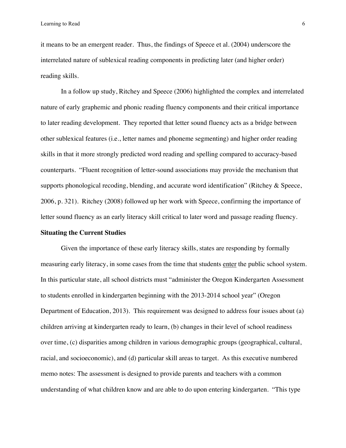it means to be an emergent reader. Thus, the findings of Speece et al. (2004) underscore the interrelated nature of sublexical reading components in predicting later (and higher order) reading skills.

In a follow up study, Ritchey and Speece (2006) highlighted the complex and interrelated nature of early graphemic and phonic reading fluency components and their critical importance to later reading development. They reported that letter sound fluency acts as a bridge between other sublexical features (i.e., letter names and phoneme segmenting) and higher order reading skills in that it more strongly predicted word reading and spelling compared to accuracy-based counterparts. "Fluent recognition of letter-sound associations may provide the mechanism that supports phonological recoding, blending, and accurate word identification" (Ritchey & Speece, 2006, p. 321). Ritchey (2008) followed up her work with Speece, confirming the importance of letter sound fluency as an early literacy skill critical to later word and passage reading fluency.

### **Situating the Current Studies**

Given the importance of these early literacy skills, states are responding by formally measuring early literacy, in some cases from the time that students enter the public school system. In this particular state, all school districts must "administer the Oregon Kindergarten Assessment to students enrolled in kindergarten beginning with the 2013-2014 school year" (Oregon Department of Education, 2013). This requirement was designed to address four issues about (a) children arriving at kindergarten ready to learn, (b) changes in their level of school readiness over time, (c) disparities among children in various demographic groups (geographical, cultural, racial, and socioeconomic), and (d) particular skill areas to target. As this executive numbered memo notes: The assessment is designed to provide parents and teachers with a common understanding of what children know and are able to do upon entering kindergarten. "This type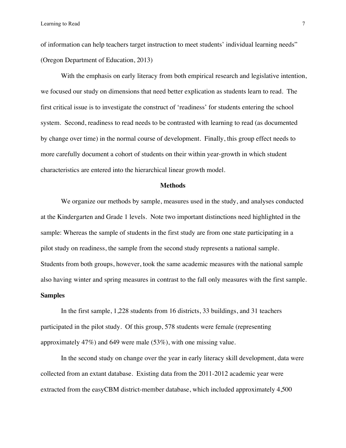of information can help teachers target instruction to meet students' individual learning needs" (Oregon Department of Education, 2013)

With the emphasis on early literacy from both empirical research and legislative intention, we focused our study on dimensions that need better explication as students learn to read. The first critical issue is to investigate the construct of 'readiness' for students entering the school system. Second, readiness to read needs to be contrasted with learning to read (as documented by change over time) in the normal course of development. Finally, this group effect needs to more carefully document a cohort of students on their within year-growth in which student characteristics are entered into the hierarchical linear growth model.

### **Methods**

We organize our methods by sample, measures used in the study, and analyses conducted at the Kindergarten and Grade 1 levels. Note two important distinctions need highlighted in the sample: Whereas the sample of students in the first study are from one state participating in a pilot study on readiness, the sample from the second study represents a national sample. Students from both groups, however, took the same academic measures with the national sample also having winter and spring measures in contrast to the fall only measures with the first sample. **Samples**

In the first sample, 1,228 students from 16 districts, 33 buildings, and 31 teachers participated in the pilot study. Of this group, 578 students were female (representing approximately 47%) and 649 were male (53%), with one missing value.

In the second study on change over the year in early literacy skill development, data were collected from an extant database. Existing data from the 2011-2012 academic year were extracted from the easyCBM district-member database, which included approximately 4,500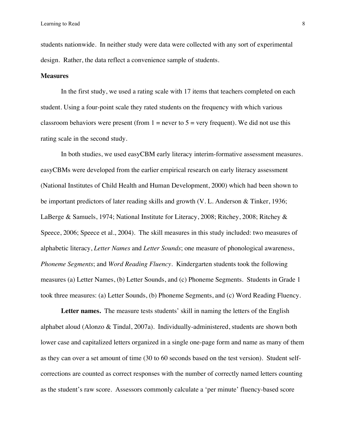students nationwide. In neither study were data were collected with any sort of experimental design. Rather, the data reflect a convenience sample of students.

#### **Measures**

In the first study, we used a rating scale with 17 items that teachers completed on each student. Using a four-point scale they rated students on the frequency with which various classroom behaviors were present (from  $1 =$  never to  $5 =$  very frequent). We did not use this rating scale in the second study.

In both studies, we used easyCBM early literacy interim-formative assessment measures. easyCBMs were developed from the earlier empirical research on early literacy assessment (National Institutes of Child Health and Human Development, 2000) which had been shown to be important predictors of later reading skills and growth (V. L. Anderson & Tinker, 1936; LaBerge & Samuels, 1974; National Institute for Literacy, 2008; Ritchey, 2008; Ritchey & Speece, 2006; Speece et al., 2004). The skill measures in this study included: two measures of alphabetic literacy, *Letter Names* and *Letter Sounds*; one measure of phonological awareness, *Phoneme Segments*; and *Word Reading Fluency*. Kindergarten students took the following measures (a) Letter Names, (b) Letter Sounds, and (c) Phoneme Segments. Students in Grade 1 took three measures: (a) Letter Sounds, (b) Phoneme Segments, and (c) Word Reading Fluency.

Letter names. The measure tests students' skill in naming the letters of the English alphabet aloud (Alonzo & Tindal, 2007a). Individually-administered, students are shown both lower case and capitalized letters organized in a single one-page form and name as many of them as they can over a set amount of time (30 to 60 seconds based on the test version). Student selfcorrections are counted as correct responses with the number of correctly named letters counting as the student's raw score. Assessors commonly calculate a 'per minute' fluency-based score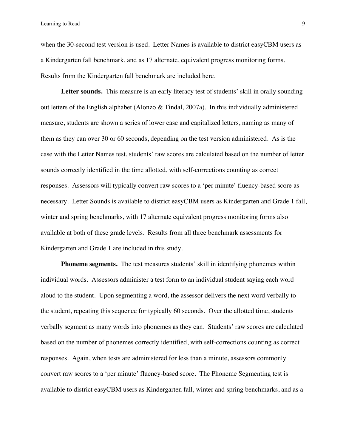when the 30-second test version is used. Letter Names is available to district easyCBM users as a Kindergarten fall benchmark, and as 17 alternate, equivalent progress monitoring forms. Results from the Kindergarten fall benchmark are included here.

**Letter sounds.** This measure is an early literacy test of students' skill in orally sounding out letters of the English alphabet (Alonzo & Tindal, 2007a). In this individually administered measure, students are shown a series of lower case and capitalized letters, naming as many of them as they can over 30 or 60 seconds, depending on the test version administered. As is the case with the Letter Names test, students' raw scores are calculated based on the number of letter sounds correctly identified in the time allotted, with self-corrections counting as correct responses. Assessors will typically convert raw scores to a 'per minute' fluency-based score as necessary. Letter Sounds is available to district easyCBM users as Kindergarten and Grade 1 fall, winter and spring benchmarks, with 17 alternate equivalent progress monitoring forms also available at both of these grade levels. Results from all three benchmark assessments for Kindergarten and Grade 1 are included in this study.

**Phoneme segments.** The test measures students' skill in identifying phonemes within individual words. Assessors administer a test form to an individual student saying each word aloud to the student. Upon segmenting a word, the assessor delivers the next word verbally to the student, repeating this sequence for typically 60 seconds. Over the allotted time, students verbally segment as many words into phonemes as they can. Students' raw scores are calculated based on the number of phonemes correctly identified, with self-corrections counting as correct responses. Again, when tests are administered for less than a minute, assessors commonly convert raw scores to a 'per minute' fluency-based score. The Phoneme Segmenting test is available to district easyCBM users as Kindergarten fall, winter and spring benchmarks, and as a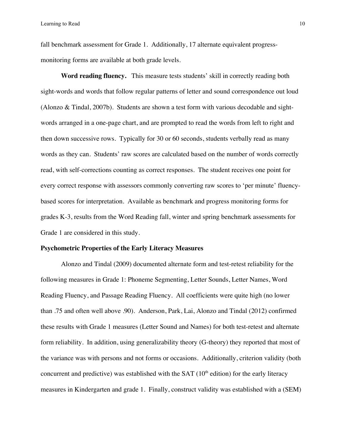fall benchmark assessment for Grade 1. Additionally, 17 alternate equivalent progressmonitoring forms are available at both grade levels.

**Word reading fluency.** This measure tests students' skill in correctly reading both sight-words and words that follow regular patterns of letter and sound correspondence out loud (Alonzo & Tindal, 2007b). Students are shown a test form with various decodable and sightwords arranged in a one-page chart, and are prompted to read the words from left to right and then down successive rows. Typically for 30 or 60 seconds, students verbally read as many words as they can. Students' raw scores are calculated based on the number of words correctly read, with self-corrections counting as correct responses. The student receives one point for every correct response with assessors commonly converting raw scores to 'per minute' fluencybased scores for interpretation. Available as benchmark and progress monitoring forms for grades K-3, results from the Word Reading fall, winter and spring benchmark assessments for Grade 1 are considered in this study.

#### **Psychometric Properties of the Early Literacy Measures**

Alonzo and Tindal (2009) documented alternate form and test-retest reliability for the following measures in Grade 1: Phoneme Segmenting, Letter Sounds, Letter Names, Word Reading Fluency, and Passage Reading Fluency. All coefficients were quite high (no lower than .75 and often well above .90). Anderson, Park, Lai, Alonzo and Tindal (2012) confirmed these results with Grade 1 measures (Letter Sound and Names) for both test-retest and alternate form reliability. In addition, using generalizability theory (G-theory) they reported that most of the variance was with persons and not forms or occasions. Additionally, criterion validity (both concurrent and predictive) was established with the SAT  $(10<sup>th</sup>$  edition) for the early literacy measures in Kindergarten and grade 1. Finally, construct validity was established with a (SEM)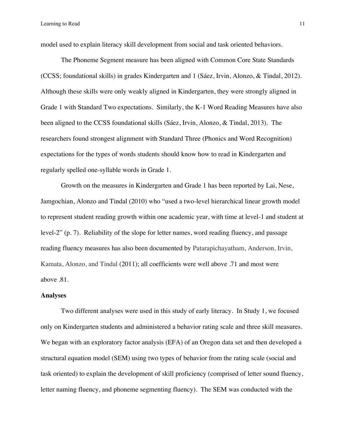model used to explain literacy skill development from social and task oriented behaviors.

The Phoneme Segment measure has been aligned with Common Core State Standards (CCSS; foundational skills) in grades Kindergarten and 1 (Sáez, Irvin, Alonzo, & Tindal, 2012). Although these skills were only weakly aligned in Kindergarten, they were strongly aligned in Grade 1 with Standard Two expectations. Similarly, the K-1 Word Reading Measures have also been aligned to the CCSS foundational skills (Sáez, Irvin, Alonzo, & Tindal, 2013). The researchers found strongest alignment with Standard Three (Phonics and Word Recognition) expectations for the types of words students should know how to read in Kindergarten and regularly spelled one-syllable words in Grade 1.

Growth on the measures in Kindergarten and Grade 1 has been reported by Lai, Nese, Jamgochian, Alonzo and Tindal (2010) who "used a two-level hierarchical linear growth model to represent student reading growth within one academic year, with time at level-1 and student at level-2" (p. 7). Reliability of the slope for letter names, word reading fluency, and passage reading fluency measures has also been documented by Patarapichayatham, Anderson, Irvin, Kamata, Alonzo, and Tindal (2011); all coefficients were well above .71 and most were above .81.

### **Analyses**

Two different analyses were used in this study of early literacy. In Study 1, we focused only on Kindergarten students and administered a behavior rating scale and three skill measures. We began with an exploratory factor analysis (EFA) of an Oregon data set and then developed a structural equation model (SEM) using two types of behavior from the rating scale (social and task oriented) to explain the development of skill proficiency (comprised of letter sound fluency, letter naming fluency, and phoneme segmenting fluency). The SEM was conducted with the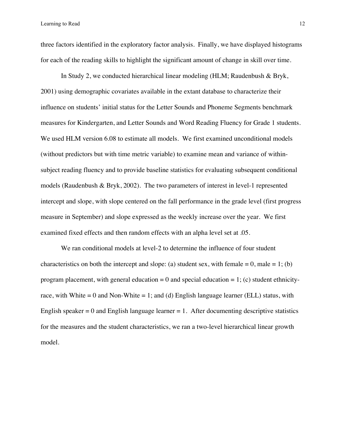three factors identified in the exploratory factor analysis. Finally, we have displayed histograms for each of the reading skills to highlight the significant amount of change in skill over time.

In Study 2, we conducted hierarchical linear modeling (HLM; Raudenbush & Bryk, 2001) using demographic covariates available in the extant database to characterize their influence on students' initial status for the Letter Sounds and Phoneme Segments benchmark measures for Kindergarten, and Letter Sounds and Word Reading Fluency for Grade 1 students. We used HLM version 6.08 to estimate all models. We first examined unconditional models (without predictors but with time metric variable) to examine mean and variance of withinsubject reading fluency and to provide baseline statistics for evaluating subsequent conditional models (Raudenbush & Bryk, 2002). The two parameters of interest in level-1 represented intercept and slope, with slope centered on the fall performance in the grade level (first progress measure in September) and slope expressed as the weekly increase over the year. We first examined fixed effects and then random effects with an alpha level set at .05.

We ran conditional models at level-2 to determine the influence of four student characteristics on both the intercept and slope: (a) student sex, with female  $= 0$ , male  $= 1$ ; (b) program placement, with general education  $= 0$  and special education  $= 1$ ; (c) student ethnicityrace, with White  $= 0$  and Non-White  $= 1$ ; and (d) English language learner (ELL) status, with English speaker  $= 0$  and English language learner  $= 1$ . After documenting descriptive statistics for the measures and the student characteristics, we ran a two-level hierarchical linear growth model.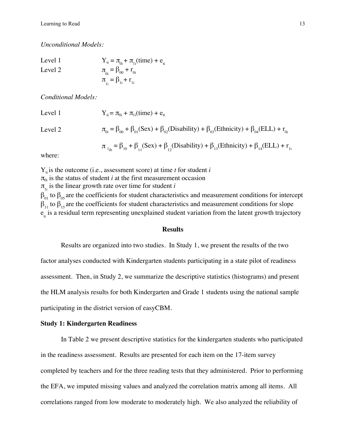*Unconditional Models:*

Level 1

\n
$$
Y_{ti} = \pi_{0i} + \pi_{1i} \text{(time)} + e_{ti}
$$
\nLevel 2

\n
$$
\pi_{0i} = \beta_{00} + r_{0i}
$$
\n
$$
\pi_{1i} = \beta_{1i} + r_{1i}
$$

*Conditional Models:*

Level 1  $Y_{ti} = \pi_{0i} + \pi_{1i}(\text{time}) + e_{ti}$ 

Level 2

\n
$$
\pi_{0i} = \beta_{00} + \beta_{01}(\text{Sex}) + \beta_{02}(\text{Disability}) + \beta_{03}(\text{Ethnicity}) + \beta_{04}(\text{ELL}) + r_{0i}
$$
\n
$$
\pi_{1i} = \beta_{10} + \beta_{11}(\text{Sex}) + \beta_{12}(\text{Disability}) + \beta_{13}(\text{Ethnicity}) + \beta_{14}(\text{ELL}) + r_{1i}
$$

where:

 $Y_{ti}$  is the outcome (i.e., assessment score) at time *t* for student *i*  $\pi_{0i}$  is the status of student *i* at the first measurement occasion  $\pi_{1i}$  is the linear growth rate over time for student *i*  $β_{01}$  to  $β_{05}$  are the coefficients for student characteristics and measurement conditions for intercept  $\beta_{11}$  to  $\beta_{15}$  are the coefficients for student characteristics and measurement conditions for slope  $e_{i}$  is a residual term representing unexplained student variation from the latent growth trajectory

## **Results**

Results are organized into two studies. In Study 1, we present the results of the two factor analyses conducted with Kindergarten students participating in a state pilot of readiness assessment. Then, in Study 2, we summarize the descriptive statistics (histograms) and present the HLM analysis results for both Kindergarten and Grade 1 students using the national sample participating in the district version of easyCBM.

## **Study 1: Kindergarten Readiness**

In Table 2 we present descriptive statistics for the kindergarten students who participated in the readiness assessment. Results are presented for each item on the 17-item survey completed by teachers and for the three reading tests that they administered. Prior to performing the EFA, we imputed missing values and analyzed the correlation matrix among all items. All correlations ranged from low moderate to moderately high. We also analyzed the reliability of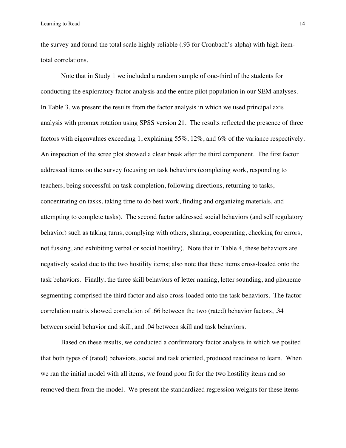the survey and found the total scale highly reliable (.93 for Cronbach's alpha) with high itemtotal correlations.

Note that in Study 1 we included a random sample of one-third of the students for conducting the exploratory factor analysis and the entire pilot population in our SEM analyses. In Table 3, we present the results from the factor analysis in which we used principal axis analysis with promax rotation using SPSS version 21. The results reflected the presence of three factors with eigenvalues exceeding 1, explaining 55%, 12%, and 6% of the variance respectively. An inspection of the scree plot showed a clear break after the third component. The first factor addressed items on the survey focusing on task behaviors (completing work, responding to teachers, being successful on task completion, following directions, returning to tasks, concentrating on tasks, taking time to do best work, finding and organizing materials, and attempting to complete tasks). The second factor addressed social behaviors (and self regulatory behavior) such as taking turns, complying with others, sharing, cooperating, checking for errors, not fussing, and exhibiting verbal or social hostility). Note that in Table 4, these behaviors are negatively scaled due to the two hostility items; also note that these items cross-loaded onto the task behaviors. Finally, the three skill behaviors of letter naming, letter sounding, and phoneme segmenting comprised the third factor and also cross-loaded onto the task behaviors. The factor correlation matrix showed correlation of .66 between the two (rated) behavior factors, .34 between social behavior and skill, and .04 between skill and task behaviors.

Based on these results, we conducted a confirmatory factor analysis in which we posited that both types of (rated) behaviors, social and task oriented, produced readiness to learn. When we ran the initial model with all items, we found poor fit for the two hostility items and so removed them from the model. We present the standardized regression weights for these items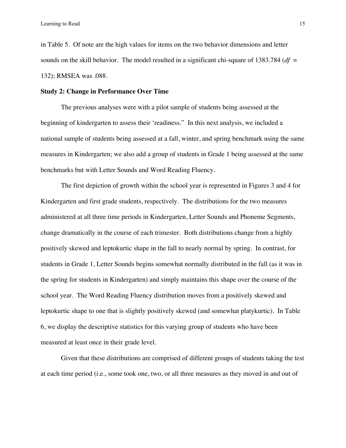in Table 5. Of note are the high values for items on the two behavior dimensions and letter sounds on the skill behavior. The model resulted in a significant chi-square of 1383.784 (*df* = 132); RMSEA was .088.

## **Study 2: Change in Performance Over Time**

The previous analyses were with a pilot sample of students being assessed at the beginning of kindergarten to assess their 'readiness." In this next analysis, we included a national sample of students being assessed at a fall, winter, and spring benchmark using the same measures in Kindergarten; we also add a group of students in Grade 1 being assessed at the same benchmarks but with Letter Sounds and Word Reading Fluency.

The first depiction of growth within the school year is represented in Figures 3 and 4 for Kindergarten and first grade students, respectively. The distributions for the two measures administered at all three time periods in Kindergarten, Letter Sounds and Phoneme Segments, change dramatically in the course of each trimester. Both distributions change from a highly positively skewed and leptokurtic shape in the fall to nearly normal by spring. In contrast, for students in Grade 1, Letter Sounds begins somewhat normally distributed in the fall (as it was in the spring for students in Kindergarten) and simply maintains this shape over the course of the school year. The Word Reading Fluency distribution moves from a positively skewed and leptokurtic shape to one that is slightly positively skewed (and somewhat platykurtic). In Table 6, we display the descriptive statistics for this varying group of students who have been measured at least once in their grade level.

Given that these distributions are comprised of different groups of students taking the test at each time period (i.e., some took one, two, or all three measures as they moved in and out of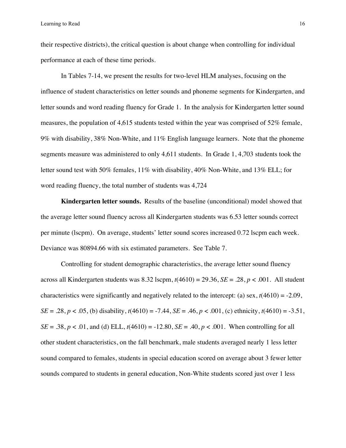their respective districts), the critical question is about change when controlling for individual performance at each of these time periods.

In Tables 7-14, we present the results for two-level HLM analyses, focusing on the influence of student characteristics on letter sounds and phoneme segments for Kindergarten, and letter sounds and word reading fluency for Grade 1. In the analysis for Kindergarten letter sound measures, the population of 4,615 students tested within the year was comprised of 52% female, 9% with disability, 38% Non-White, and 11% English language learners. Note that the phoneme segments measure was administered to only 4,611 students. In Grade 1, 4,703 students took the letter sound test with 50% females, 11% with disability, 40% Non-White, and 13% ELL; for word reading fluency, the total number of students was 4,724

**Kindergarten letter sounds.** Results of the baseline (unconditional) model showed that the average letter sound fluency across all Kindergarten students was 6.53 letter sounds correct per minute (lscpm). On average, students' letter sound scores increased 0.72 lscpm each week. Deviance was 80894.66 with six estimated parameters. See Table 7.

Controlling for student demographic characteristics, the average letter sound fluency across all Kindergarten students was 8.32 lscpm,  $t(4610) = 29.36$ ,  $SE = .28$ ,  $p < .001$ . All student characteristics were significantly and negatively related to the intercept: (a) sex, *t*(4610) = -2.09, *SE* = .28, *p* < .05, (b) disability,  $t(4610) = -7.44$ , *SE* = .46, *p* < .001, (c) ethnicity,  $t(4610) = -3.51$ , *SE* = .38, *p* < .01, and (d) ELL,  $t(4610) = -12.80$ , *SE* = .40, *p* < .001. When controlling for all other student characteristics, on the fall benchmark, male students averaged nearly 1 less letter sound compared to females, students in special education scored on average about 3 fewer letter sounds compared to students in general education, Non-White students scored just over 1 less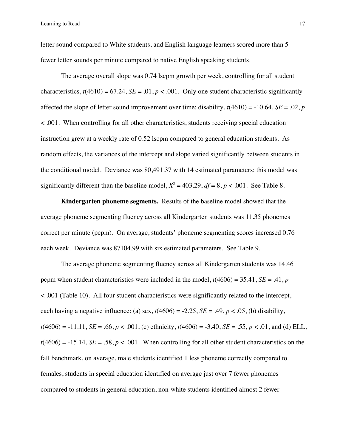letter sound compared to White students, and English language learners scored more than 5 fewer letter sounds per minute compared to native English speaking students.

The average overall slope was 0.74 lscpm growth per week, controlling for all student characteristics,  $t(4610) = 67.24$ ,  $SE = .01$ ,  $p < .001$ . Only one student characteristic significantly affected the slope of letter sound improvement over time: disability,  $t(4610) = -10.64$ ,  $SE = .02$ , *p* < .001. When controlling for all other characteristics, students receiving special education instruction grew at a weekly rate of 0.52 lscpm compared to general education students. As random effects, the variances of the intercept and slope varied significantly between students in the conditional model. Deviance was 80,491.37 with 14 estimated parameters; this model was significantly different than the baseline model,  $X^2 = 403.29$ ,  $df = 8$ ,  $p < .001$ . See Table 8.

**Kindergarten phoneme segments.** Results of the baseline model showed that the average phoneme segmenting fluency across all Kindergarten students was 11.35 phonemes correct per minute (pcpm). On average, students' phoneme segmenting scores increased 0.76 each week. Deviance was 87104.99 with six estimated parameters. See Table 9.

The average phoneme segmenting fluency across all Kindergarten students was 14.46 pcpm when student characteristics were included in the model,  $t(4606) = 35.41$ ,  $SE = .41$ , *p* < .001 (Table 10). All four student characteristics were significantly related to the intercept, each having a negative influence: (a) sex,  $t(4606) = -2.25$ ,  $SE = .49$ ,  $p < .05$ , (b) disability,  $t(4606) = -11.11$ , *SE* = .66, *p* < .001, (c) ethnicity,  $t(4606) = -3.40$ , *SE* = .55, *p* < .01, and (d) ELL,  $t(4606) = -15.14$ , *SE* = .58, *p* < .001. When controlling for all other student characteristics on the fall benchmark, on average, male students identified 1 less phoneme correctly compared to females, students in special education identified on average just over 7 fewer phonemes compared to students in general education, non-white students identified almost 2 fewer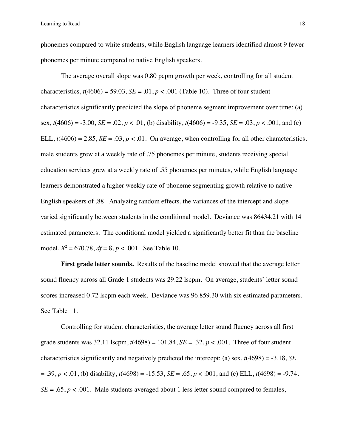phonemes compared to white students, while English language learners identified almost 9 fewer phonemes per minute compared to native English speakers.

The average overall slope was 0.80 pcpm growth per week, controlling for all student characteristics,  $t(4606) = 59.03$ ,  $SE = .01$ ,  $p < .001$  (Table 10). Three of four student characteristics significantly predicted the slope of phoneme segment improvement over time: (a) sex,  $t(4606) = -3.00$ ,  $SE = .02$ ,  $p < .01$ , (b) disability,  $t(4606) = -9.35$ ,  $SE = .03$ ,  $p < .001$ , and (c) ELL,  $t(4606) = 2.85$ ,  $SE = .03$ ,  $p < .01$ . On average, when controlling for all other characteristics, male students grew at a weekly rate of .75 phonemes per minute, students receiving special education services grew at a weekly rate of .55 phonemes per minutes, while English language learners demonstrated a higher weekly rate of phoneme segmenting growth relative to native English speakers of .88. Analyzing random effects, the variances of the intercept and slope varied significantly between students in the conditional model. Deviance was 86434.21 with 14 estimated parameters. The conditional model yielded a significantly better fit than the baseline model,  $X^2 = 670.78$ ,  $df = 8$ ,  $p < .001$ . See Table 10.

**First grade letter sounds.** Results of the baseline model showed that the average letter sound fluency across all Grade 1 students was 29.22 lscpm. On average, students' letter sound scores increased 0.72 lscpm each week. Deviance was 96.859.30 with six estimated parameters. See Table 11.

Controlling for student characteristics, the average letter sound fluency across all first grade students was  $32.11$  lscpm,  $t(4698) = 101.84$ ,  $SE = .32$ ,  $p < .001$ . Three of four student characteristics significantly and negatively predicted the intercept: (a) sex, *t*(4698) = -3.18, *SE*  $= .39, p < .01, (b)$  disability,  $t(4698) = -15.53, SE = .65, p < .001$ , and (c) ELL,  $t(4698) = -9.74$ ,  $SE = .65$ ,  $p < .001$ . Male students averaged about 1 less letter sound compared to females,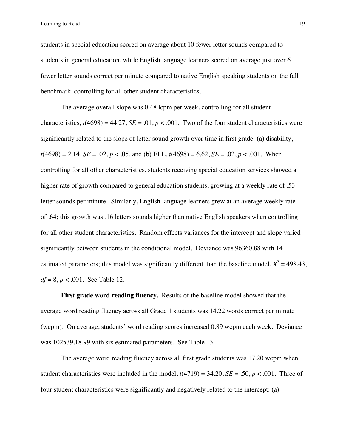students in special education scored on average about 10 fewer letter sounds compared to students in general education, while English language learners scored on average just over 6 fewer letter sounds correct per minute compared to native English speaking students on the fall benchmark, controlling for all other student characteristics.

The average overall slope was 0.48 lcpm per week, controlling for all student characteristics,  $t(4698) = 44.27$ ,  $SE = .01$ ,  $p < .001$ . Two of the four student characteristics were significantly related to the slope of letter sound growth over time in first grade: (a) disability,  $t(4698) = 2.14$ ,  $SE = .02$ ,  $p < .05$ , and (b) ELL,  $t(4698) = 6.62$ ,  $SE = .02$ ,  $p < .001$ . When controlling for all other characteristics, students receiving special education services showed a higher rate of growth compared to general education students, growing at a weekly rate of .53 letter sounds per minute. Similarly, English language learners grew at an average weekly rate of .64; this growth was .16 letters sounds higher than native English speakers when controlling for all other student characteristics. Random effects variances for the intercept and slope varied significantly between students in the conditional model. Deviance was 96360.88 with 14 estimated parameters; this model was significantly different than the baseline model,  $X^2 = 498.43$ , *df* = 8, *p* < .001. See Table 12.

**First grade word reading fluency.** Results of the baseline model showed that the average word reading fluency across all Grade 1 students was 14.22 words correct per minute (wcpm). On average, students' word reading scores increased 0.89 wcpm each week. Deviance was 102539.18.99 with six estimated parameters. See Table 13.

The average word reading fluency across all first grade students was 17.20 wcpm when student characteristics were included in the model,  $t(4719) = 34.20$ ,  $SE = .50$ ,  $p < .001$ . Three of four student characteristics were significantly and negatively related to the intercept: (a)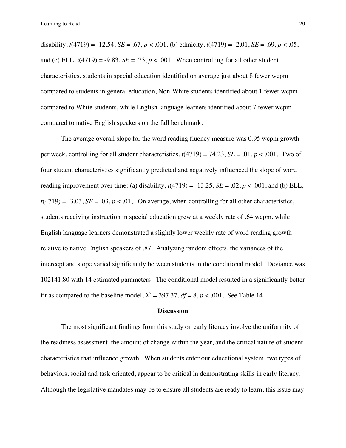disability,  $t(4719) = -12.54$ ,  $SE = .67$ ,  $p < .001$ , (b) ethnicity,  $t(4719) = -2.01$ ,  $SE = .69$ ,  $p < .05$ , and (c) ELL,  $t(4719) = -9.83$ ,  $SE = .73$ ,  $p < .001$ . When controlling for all other student characteristics, students in special education identified on average just about 8 fewer wcpm compared to students in general education, Non-White students identified about 1 fewer wcpm compared to White students, while English language learners identified about 7 fewer wcpm compared to native English speakers on the fall benchmark.

The average overall slope for the word reading fluency measure was 0.95 wcpm growth per week, controlling for all student characteristics,  $t(4719) = 74.23$ ,  $SE = .01$ ,  $p < .001$ . Two of four student characteristics significantly predicted and negatively influenced the slope of word reading improvement over time: (a) disability,  $t(4719) = -13.25$ ,  $SE = .02$ ,  $p < .001$ , and (b) ELL,  $t(4719) = -3.03$ ,  $SE = .03$ ,  $p < .01$ . On average, when controlling for all other characteristics, students receiving instruction in special education grew at a weekly rate of .64 wcpm, while English language learners demonstrated a slightly lower weekly rate of word reading growth relative to native English speakers of .87. Analyzing random effects, the variances of the intercept and slope varied significantly between students in the conditional model. Deviance was 102141.80 with 14 estimated parameters. The conditional model resulted in a significantly better fit as compared to the baseline model,  $X^2 = 397.37$ ,  $df = 8$ ,  $p < .001$ . See Table 14.

### **Discussion**

The most significant findings from this study on early literacy involve the uniformity of the readiness assessment, the amount of change within the year, and the critical nature of student characteristics that influence growth. When students enter our educational system, two types of behaviors, social and task oriented, appear to be critical in demonstrating skills in early literacy. Although the legislative mandates may be to ensure all students are ready to learn, this issue may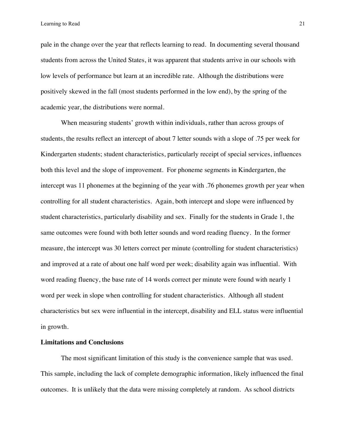pale in the change over the year that reflects learning to read. In documenting several thousand students from across the United States, it was apparent that students arrive in our schools with low levels of performance but learn at an incredible rate. Although the distributions were positively skewed in the fall (most students performed in the low end), by the spring of the academic year, the distributions were normal.

When measuring students' growth within individuals, rather than across groups of students, the results reflect an intercept of about 7 letter sounds with a slope of .75 per week for Kindergarten students; student characteristics, particularly receipt of special services, influences both this level and the slope of improvement. For phoneme segments in Kindergarten, the intercept was 11 phonemes at the beginning of the year with .76 phonemes growth per year when controlling for all student characteristics. Again, both intercept and slope were influenced by student characteristics, particularly disability and sex. Finally for the students in Grade 1, the same outcomes were found with both letter sounds and word reading fluency. In the former measure, the intercept was 30 letters correct per minute (controlling for student characteristics) and improved at a rate of about one half word per week; disability again was influential. With word reading fluency, the base rate of 14 words correct per minute were found with nearly 1 word per week in slope when controlling for student characteristics. Although all student characteristics but sex were influential in the intercept, disability and ELL status were influential in growth.

## **Limitations and Conclusions**

The most significant limitation of this study is the convenience sample that was used. This sample, including the lack of complete demographic information, likely influenced the final outcomes. It is unlikely that the data were missing completely at random. As school districts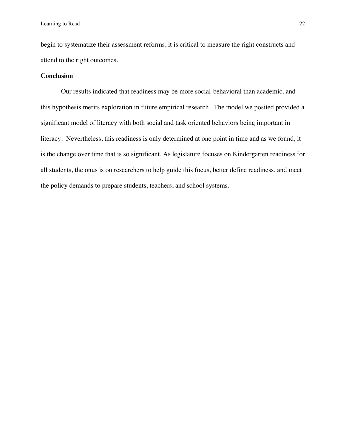begin to systematize their assessment reforms, it is critical to measure the right constructs and attend to the right outcomes.

## **Conclusion**

Our results indicated that readiness may be more social-behavioral than academic, and this hypothesis merits exploration in future empirical research. The model we posited provided a significant model of literacy with both social and task oriented behaviors being important in literacy. Nevertheless, this readiness is only determined at one point in time and as we found, it is the change over time that is so significant. As legislature focuses on Kindergarten readiness for all students, the onus is on researchers to help guide this focus, better define readiness, and meet the policy demands to prepare students, teachers, and school systems.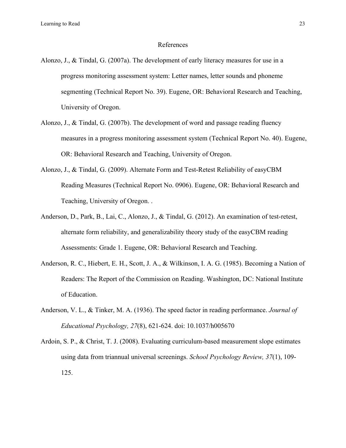## References

- Alonzo, J., & Tindal, G. (2007a). The development of early literacy measures for use in a progress monitoring assessment system: Letter names, letter sounds and phoneme segmenting (Technical Report No. 39). Eugene, OR: Behavioral Research and Teaching, University of Oregon.
- Alonzo, J., & Tindal, G. (2007b). The development of word and passage reading fluency measures in a progress monitoring assessment system (Technical Report No. 40). Eugene, OR: Behavioral Research and Teaching, University of Oregon.
- Alonzo, J., & Tindal, G. (2009). Alternate Form and Test-Retest Reliability of easyCBM Reading Measures (Technical Report No. 0906). Eugene, OR: Behavioral Research and Teaching, University of Oregon. .
- Anderson, D., Park, B., Lai, C., Alonzo, J., & Tindal, G. (2012). An examination of test-retest, alternate form reliability, and generalizability theory study of the easyCBM reading Assessments: Grade 1. Eugene, OR: Behavioral Research and Teaching.
- Anderson, R. C., Hiebert, E. H., Scott, J. A., & Wilkinson, I. A. G. (1985). Becoming a Nation of Readers: The Report of the Commission on Reading. Washington, DC: National Institute of Education.
- Anderson, V. L., & Tinker, M. A. (1936). The speed factor in reading performance. *Journal of Educational Psychology, 27*(8), 621-624. doi: 10.1037/h005670
- Ardoin, S. P., & Christ, T. J. (2008). Evaluating curriculum-based measurement slope estimates using data from triannual universal screenings. *School Psychology Review, 37*(1), 109- 125.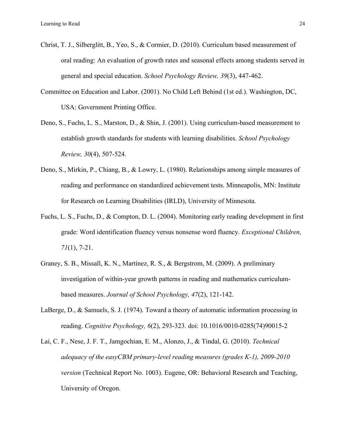- Christ, T. J., Silberglitt, B., Yeo, S., & Cormier, D. (2010). Curriculum based measurement of oral reading: An evaluation of growth rates and seasonal effects among students served in general and special education. *School Psychology Review, 39*(3), 447-462.
- Committee on Education and Labor. (2001). No Child Left Behind (1st ed.). Washington, DC, USA: Government Printing Office.
- Deno, S., Fuchs, L. S., Marston, D., & Shin, J. (2001). Using curriculum-based measurement to establish growth standards for students with learning disabilities. *School Psychology Review, 30*(4), 507-524.
- Deno, S., Mirkin, P., Chiang, B., & Lowry, L. (1980). Relationships among simple measures of reading and performance on standardized achievement tests. Minneapolis, MN: Institute for Research on Learning Disabilities (IRLD), University of Minnesota.
- Fuchs, L. S., Fuchs, D., & Compton, D. L. (2004). Monitoring early reading development in first grade: Word identification fluency versus nonsense word fluency. *Exceptional Children, 71*(1), 7-21.
- Graney, S. B., Missall, K. N., Martínez, R. S., & Bergstrom, M. (2009). A preliminary investigation of within-year growth patterns in reading and mathematics curriculumbased measures. *Journal of School Psychology, 47*(2), 121-142.
- LaBerge, D., & Samuels, S. J. (1974). Toward a theory of automatic information processing in reading. *Cognitive Psychology, 6*(2), 293-323. doi: 10.1016/0010-0285(74)90015-2
- Lai, C. F., Nese, J. F. T., Jamgochian, E. M., Alonzo, J., & Tindal, G. (2010). *Technical adequacy of the easyCBM primary-level reading measures (grades K-1), 2009-2010 version* (Technical Report No. 1003). Eugene, OR: Behavioral Research and Teaching, University of Oregon.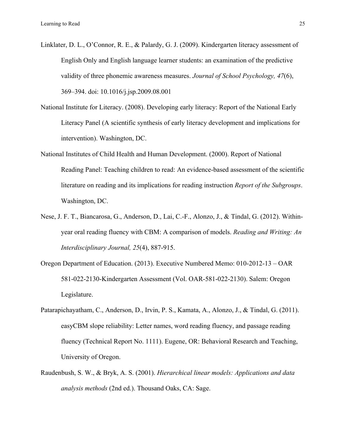- Linklater, D. L., O'Connor, R. E., & Palardy, G. J. (2009). Kindergarten literacy assessment of English Only and English language learner students: an examination of the predictive validity of three phonemic awareness measures. *Journal of School Psychology, 47*(6), 369–394. doi: 10.1016/j.jsp.2009.08.001
- National Institute for Literacy. (2008). Developing early literacy: Report of the National Early Literacy Panel (A scientific synthesis of early literacy development and implications for intervention). Washington, DC.
- National Institutes of Child Health and Human Development. (2000). Report of National Reading Panel: Teaching children to read: An evidence-based assessment of the scientific literature on reading and its implications for reading instruction *Report of the Subgroups*. Washington, DC.
- Nese, J. F. T., Biancarosa, G., Anderson, D., Lai, C.-F., Alonzo, J., & Tindal, G. (2012). Withinyear oral reading fluency with CBM: A comparison of models. *Reading and Writing: An Interdisciplinary Journal, 25*(4), 887-915.
- Oregon Department of Education. (2013). Executive Numbered Memo: 010-2012-13 OAR 581-022-2130-Kindergarten Assessment (Vol. OAR-581-022-2130). Salem: Oregon Legislature.
- Patarapichayatham, C., Anderson, D., Irvin, P. S., Kamata, A., Alonzo, J., & Tindal, G. (2011). easyCBM slope reliability: Letter names, word reading fluency, and passage reading fluency (Technical Report No. 1111). Eugene, OR: Behavioral Research and Teaching, University of Oregon.
- Raudenbush, S. W., & Bryk, A. S. (2001). *Hierarchical linear models: Applications and data analysis methods* (2nd ed.). Thousand Oaks, CA: Sage.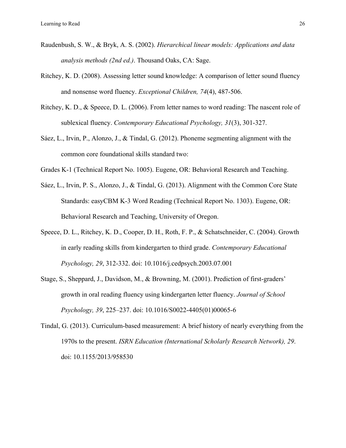- Raudenbush, S. W., & Bryk, A. S. (2002). *Hierarchical linear models: Applications and data analysis methods (2nd ed.)*. Thousand Oaks, CA: Sage.
- Ritchey, K. D. (2008). Assessing letter sound knowledge: A comparison of letter sound fluency and nonsense word fluency. *Exceptional Children, 74*(4), 487-506.
- Ritchey, K. D., & Speece, D. L. (2006). From letter names to word reading: The nascent role of sublexical fluency. *Contemporary Educational Psychology, 31*(3), 301-327.
- Sáez, L., Irvin, P., Alonzo, J., & Tindal, G. (2012). Phoneme segmenting alignment with the common core foundational skills standard two:
- Grades K-1 (Technical Report No. 1005). Eugene, OR: Behavioral Research and Teaching.
- Sáez, L., Irvin, P. S., Alonzo, J., & Tindal, G. (2013). Alignment with the Common Core State Standards: easyCBM K-3 Word Reading (Technical Report No. 1303). Eugene, OR: Behavioral Research and Teaching, University of Oregon.
- Speece, D. L., Ritchey, K. D., Cooper, D. H., Roth, F. P., & Schatschneider, C. (2004). Growth in early reading skills from kindergarten to third grade. *Contemporary Educational Psychology, 29*, 312-332. doi: 10.1016/j.cedpsych.2003.07.001
- Stage, S., Sheppard, J., Davidson, M., & Browning, M. (2001). Prediction of first-graders' growth in oral reading fluency using kindergarten letter fluency. *Journal of School Psychology, 39*, 225–237. doi: 10.1016/S0022-4405(01)00065-6
- Tindal, G. (2013). Curriculum-based measurement: A brief history of nearly everything from the 1970s to the present. *ISRN Education (International Scholarly Research Network), 29*. doi: 10.1155/2013/958530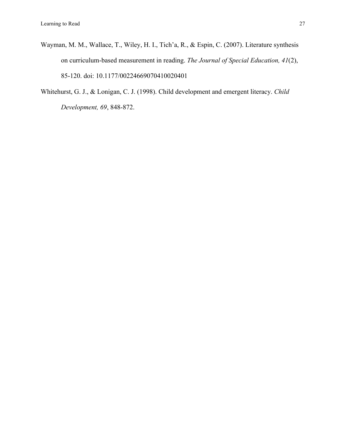- Wayman, M. M., Wallace, T., Wiley, H. I., Tich'a, R., & Espin, C. (2007). Literature synthesis on curriculum-based measurement in reading. *The Journal of Special Education, 41*(2), 85-120. doi: 10.1177/00224669070410020401
- Whitehurst, G. J., & Lonigan, C. J. (1998). Child development and emergent literacy. *Child Development, 69*, 848-872.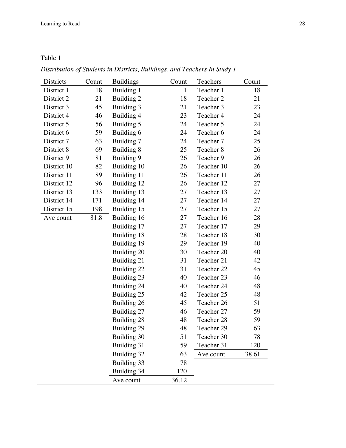# Table 1

| Districts   | Count | <b>Buildings</b> | Count        | Teachers   | Count |
|-------------|-------|------------------|--------------|------------|-------|
| District 1  | 18    | Building 1       | $\mathbf{1}$ | Teacher 1  | 18    |
| District 2  | 21    | Building 2       | 18           | Teacher 2  | 21    |
| District 3  | 45    | Building 3       | 21           | Teacher 3  | 23    |
| District 4  | 46    | Building 4       | 23           | Teacher 4  | 24    |
| District 5  | 56    | Building 5       | 24           | Teacher 5  | 24    |
| District 6  | 59    | Building 6       | 24           | Teacher 6  | 24    |
| District 7  | 63    | Building 7       | 24           | Teacher 7  | 25    |
| District 8  | 69    | Building 8       | 25           | Teacher 8  | 26    |
| District 9  | 81    | Building 9       | 26           | Teacher 9  | 26    |
| District 10 | 82    | Building 10      | 26           | Teacher 10 | 26    |
| District 11 | 89    | Building 11      | 26           | Teacher 11 | 26    |
| District 12 | 96    | Building 12      | 26           | Teacher 12 | 27    |
| District 13 | 133   | Building 13      | 27           | Teacher 13 | 27    |
| District 14 | 171   | Building 14      | 27           | Teacher 14 | 27    |
| District 15 | 198   | Building 15      | 27           | Teacher 15 | 27    |
| Ave count   | 81.8  | Building 16      | 27           | Teacher 16 | 28    |
|             |       | Building 17      | 27           | Teacher 17 | 29    |
|             |       | Building 18      | 28           | Teacher 18 | 30    |
|             |       | Building 19      | 29           | Teacher 19 | 40    |
|             |       | Building 20      | 30           | Teacher 20 | 40    |
|             |       | Building 21      | 31           | Teacher 21 | 42    |
|             |       | Building 22      | 31           | Teacher 22 | 45    |
|             |       | Building 23      | 40           | Teacher 23 | 46    |
|             |       | Building 24      | 40           | Teacher 24 | 48    |
|             |       | Building 25      | 42           | Teacher 25 | 48    |
|             |       | Building 26      | 45           | Teacher 26 | 51    |
|             |       | Building 27      | 46           | Teacher 27 | 59    |
|             |       | Building 28      | 48           | Teacher 28 | 59    |
|             |       | Building 29      | 48           | Teacher 29 | 63    |
|             |       | Building 30      | 51           | Teacher 30 | 78    |
|             |       | Building 31      | 59           | Teacher 31 | 120   |
|             |       | Building 32      | 63           | Ave count  | 38.61 |
|             |       | Building 33      | 78           |            |       |
|             |       | Building 34      | 120          |            |       |
|             |       | Ave count        | 36.12        |            |       |

*Distribution of Students in Districts, Buildings, and Teachers In Study 1*